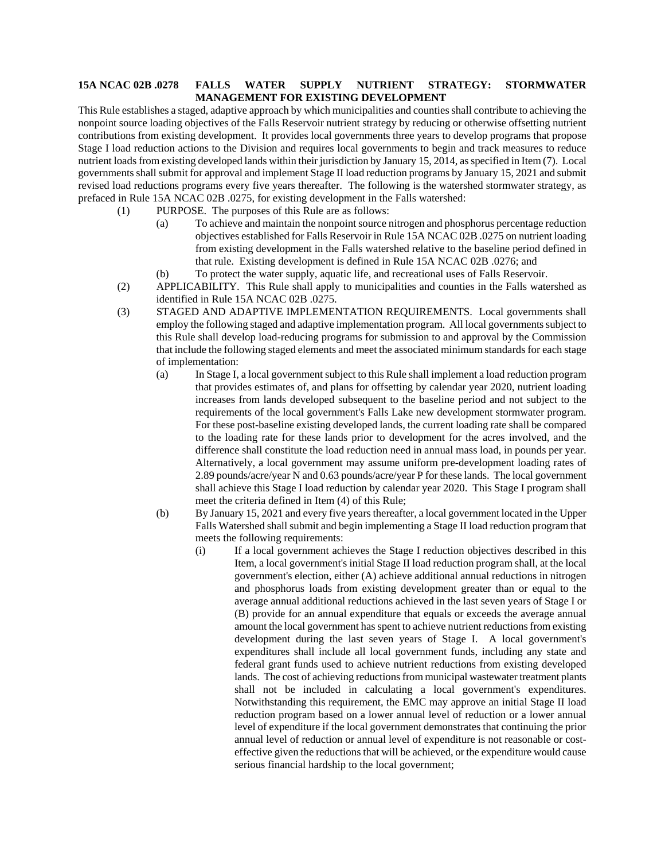## **15A NCAC 02B .0278 FALLS WATER SUPPLY NUTRIENT STRATEGY: STORMWATER MANAGEMENT FOR EXISTING DEVELOPMENT**

This Rule establishes a staged, adaptive approach by which municipalities and counties shall contribute to achieving the nonpoint source loading objectives of the Falls Reservoir nutrient strategy by reducing or otherwise offsetting nutrient contributions from existing development. It provides local governments three years to develop programs that propose Stage I load reduction actions to the Division and requires local governments to begin and track measures to reduce nutrient loads from existing developed lands within their jurisdiction by January 15, 2014, as specified in Item (7). Local governments shall submit for approval and implement Stage II load reduction programs by January 15, 2021 and submit revised load reductions programs every five years thereafter. The following is the watershed stormwater strategy, as prefaced in Rule 15A NCAC 02B .0275, for existing development in the Falls watershed:

- (1) PURPOSE. The purposes of this Rule are as follows:
	- (a) To achieve and maintain the nonpoint source nitrogen and phosphorus percentage reduction objectives established for Falls Reservoir in Rule 15A NCAC 02B .0275 on nutrient loading from existing development in the Falls watershed relative to the baseline period defined in that rule. Existing development is defined in Rule 15A NCAC 02B .0276; and
		- (b) To protect the water supply, aquatic life, and recreational uses of Falls Reservoir.
- (2) APPLICABILITY. This Rule shall apply to municipalities and counties in the Falls watershed as identified in Rule 15A NCAC 02B .0275.
- (3) STAGED AND ADAPTIVE IMPLEMENTATION REQUIREMENTS. Local governments shall employ the following staged and adaptive implementation program. All local governments subject to this Rule shall develop load-reducing programs for submission to and approval by the Commission that include the following staged elements and meet the associated minimum standards for each stage of implementation:
	- (a) In Stage I, a local government subject to this Rule shall implement a load reduction program that provides estimates of, and plans for offsetting by calendar year 2020, nutrient loading increases from lands developed subsequent to the baseline period and not subject to the requirements of the local government's Falls Lake new development stormwater program. For these post-baseline existing developed lands, the current loading rate shall be compared to the loading rate for these lands prior to development for the acres involved, and the difference shall constitute the load reduction need in annual mass load, in pounds per year. Alternatively, a local government may assume uniform pre-development loading rates of 2.89 pounds/acre/year N and 0.63 pounds/acre/year P for these lands. The local government shall achieve this Stage I load reduction by calendar year 2020. This Stage I program shall meet the criteria defined in Item (4) of this Rule;
	- (b) By January 15, 2021 and every five years thereafter, a local government located in the Upper Falls Watershed shall submit and begin implementing a Stage II load reduction program that meets the following requirements:
		- (i) If a local government achieves the Stage I reduction objectives described in this Item, a local government's initial Stage II load reduction program shall, at the local government's election, either (A) achieve additional annual reductions in nitrogen and phosphorus loads from existing development greater than or equal to the average annual additional reductions achieved in the last seven years of Stage I or (B) provide for an annual expenditure that equals or exceeds the average annual amount the local government has spent to achieve nutrient reductions from existing development during the last seven years of Stage I. A local government's expenditures shall include all local government funds, including any state and federal grant funds used to achieve nutrient reductions from existing developed lands. The cost of achieving reductions from municipal wastewater treatment plants shall not be included in calculating a local government's expenditures. Notwithstanding this requirement, the EMC may approve an initial Stage II load reduction program based on a lower annual level of reduction or a lower annual level of expenditure if the local government demonstrates that continuing the prior annual level of reduction or annual level of expenditure is not reasonable or costeffective given the reductions that will be achieved, or the expenditure would cause serious financial hardship to the local government;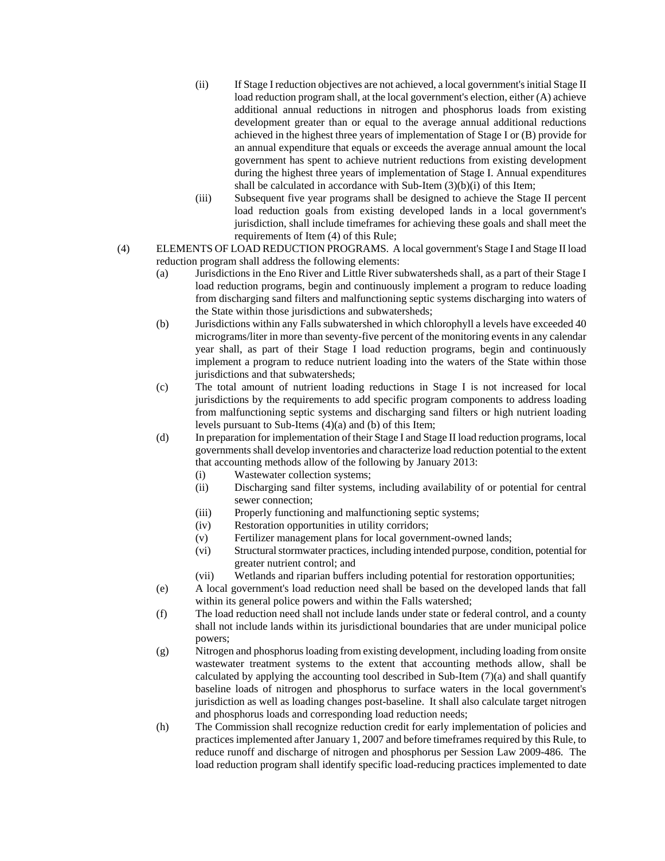- (ii) If Stage I reduction objectives are not achieved, a local government's initial Stage II load reduction program shall, at the local government's election, either (A) achieve additional annual reductions in nitrogen and phosphorus loads from existing development greater than or equal to the average annual additional reductions achieved in the highest three years of implementation of Stage I or (B) provide for an annual expenditure that equals or exceeds the average annual amount the local government has spent to achieve nutrient reductions from existing development during the highest three years of implementation of Stage I. Annual expenditures shall be calculated in accordance with Sub-Item (3)(b)(i) of this Item;
- (iii) Subsequent five year programs shall be designed to achieve the Stage II percent load reduction goals from existing developed lands in a local government's jurisdiction, shall include timeframes for achieving these goals and shall meet the requirements of Item (4) of this Rule;

(4) ELEMENTS OF LOAD REDUCTION PROGRAMS. A local government's Stage I and Stage II load reduction program shall address the following elements:

- (a) Jurisdictions in the Eno River and Little River subwatersheds shall, as a part of their Stage I load reduction programs, begin and continuously implement a program to reduce loading from discharging sand filters and malfunctioning septic systems discharging into waters of the State within those jurisdictions and subwatersheds;
- (b) Jurisdictions within any Falls subwatershed in which chlorophyll a levels have exceeded 40 micrograms/liter in more than seventy-five percent of the monitoring events in any calendar year shall, as part of their Stage I load reduction programs, begin and continuously implement a program to reduce nutrient loading into the waters of the State within those jurisdictions and that subwatersheds;
- (c) The total amount of nutrient loading reductions in Stage I is not increased for local jurisdictions by the requirements to add specific program components to address loading from malfunctioning septic systems and discharging sand filters or high nutrient loading levels pursuant to Sub-Items (4)(a) and (b) of this Item;
- (d) In preparation for implementation of their Stage I and Stage II load reduction programs, local governments shall develop inventories and characterize load reduction potential to the extent that accounting methods allow of the following by January 2013:
	- (i) Wastewater collection systems;
	- (ii) Discharging sand filter systems, including availability of or potential for central sewer connection;
	- (iii) Properly functioning and malfunctioning septic systems;
	- (iv) Restoration opportunities in utility corridors;
	- (v) Fertilizer management plans for local government-owned lands;
	- (vi) Structural stormwater practices, including intended purpose, condition, potential for greater nutrient control; and
	- (vii) Wetlands and riparian buffers including potential for restoration opportunities;
- (e) A local government's load reduction need shall be based on the developed lands that fall within its general police powers and within the Falls watershed;
- (f) The load reduction need shall not include lands under state or federal control, and a county shall not include lands within its jurisdictional boundaries that are under municipal police powers;
- (g) Nitrogen and phosphorus loading from existing development, including loading from onsite wastewater treatment systems to the extent that accounting methods allow, shall be calculated by applying the accounting tool described in Sub-Item  $(7)(a)$  and shall quantify baseline loads of nitrogen and phosphorus to surface waters in the local government's jurisdiction as well as loading changes post-baseline. It shall also calculate target nitrogen and phosphorus loads and corresponding load reduction needs;
- (h) The Commission shall recognize reduction credit for early implementation of policies and practices implemented after January 1, 2007 and before timeframes required by this Rule, to reduce runoff and discharge of nitrogen and phosphorus per Session Law 2009-486. The load reduction program shall identify specific load-reducing practices implemented to date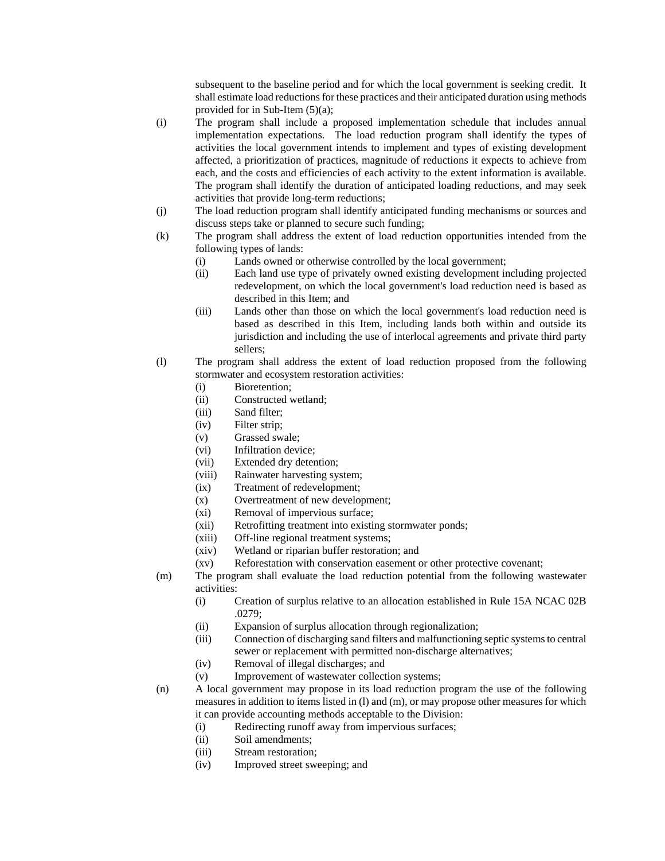subsequent to the baseline period and for which the local government is seeking credit. It shall estimate load reductions for these practices and their anticipated duration using methods provided for in Sub-Item (5)(a);

- (i) The program shall include a proposed implementation schedule that includes annual implementation expectations. The load reduction program shall identify the types of activities the local government intends to implement and types of existing development affected, a prioritization of practices, magnitude of reductions it expects to achieve from each, and the costs and efficiencies of each activity to the extent information is available. The program shall identify the duration of anticipated loading reductions, and may seek activities that provide long-term reductions;
- (j) The load reduction program shall identify anticipated funding mechanisms or sources and discuss steps take or planned to secure such funding;
- (k) The program shall address the extent of load reduction opportunities intended from the following types of lands:
	- (i) Lands owned or otherwise controlled by the local government;
	- (ii) Each land use type of privately owned existing development including projected redevelopment, on which the local government's load reduction need is based as described in this Item; and
	- (iii) Lands other than those on which the local government's load reduction need is based as described in this Item, including lands both within and outside its jurisdiction and including the use of interlocal agreements and private third party sellers;
- (l) The program shall address the extent of load reduction proposed from the following stormwater and ecosystem restoration activities:
	- (i) Bioretention;
	- (ii) Constructed wetland;
	- (iii) Sand filter;
	- (iv) Filter strip;
	- (v) Grassed swale;
	- (vi) Infiltration device;
	- (vii) Extended dry detention;
	- (viii) Rainwater harvesting system;
	- (ix) Treatment of redevelopment;
	- (x) Overtreatment of new development;
	- (xi) Removal of impervious surface;
	- (xii) Retrofitting treatment into existing stormwater ponds;
	- (xiii) Off-line regional treatment systems;
	- (xiv) Wetland or riparian buffer restoration; and
	- (xv) Reforestation with conservation easement or other protective covenant;
- (m) The program shall evaluate the load reduction potential from the following wastewater activities:
	- (i) Creation of surplus relative to an allocation established in Rule 15A NCAC 02B .0279;
	- (ii) Expansion of surplus allocation through regionalization;
	- (iii) Connection of discharging sand filters and malfunctioning septic systems to central sewer or replacement with permitted non-discharge alternatives;
	- (iv) Removal of illegal discharges; and
	- (v) Improvement of wastewater collection systems;
- (n) A local government may propose in its load reduction program the use of the following measures in addition to items listed in (l) and (m), or may propose other measures for which it can provide accounting methods acceptable to the Division:
	- (i) Redirecting runoff away from impervious surfaces;
	- (ii) Soil amendments;
	- (iii) Stream restoration;
	- (iv) Improved street sweeping; and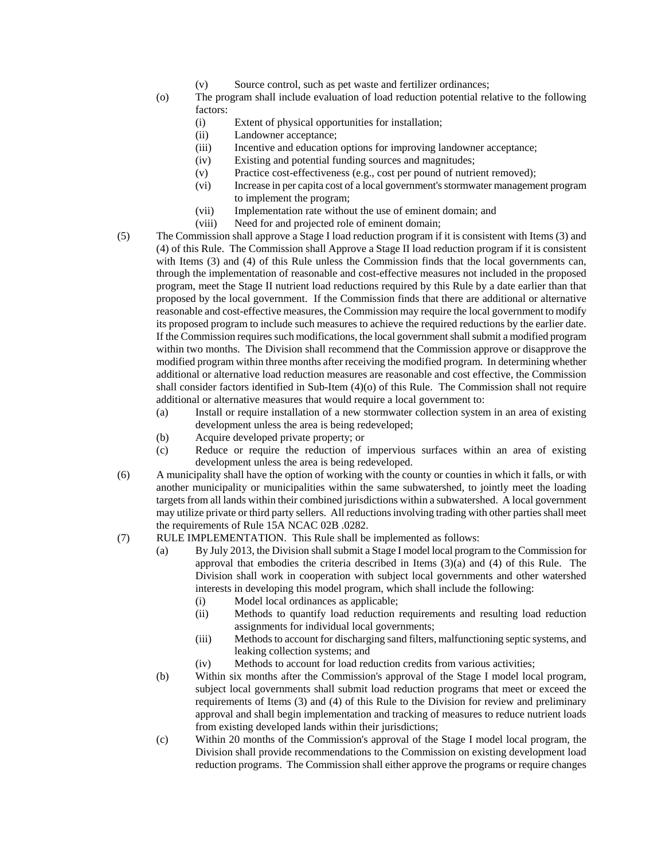- (v) Source control, such as pet waste and fertilizer ordinances;
- (o) The program shall include evaluation of load reduction potential relative to the following factors:
	- (i) Extent of physical opportunities for installation;
	- (ii) Landowner acceptance;
	- (iii) Incentive and education options for improving landowner acceptance;
	- (iv) Existing and potential funding sources and magnitudes;
	- (v) Practice cost-effectiveness (e.g., cost per pound of nutrient removed);
	- (vi) Increase in per capita cost of a local government's stormwater management program to implement the program;
	- (vii) Implementation rate without the use of eminent domain; and
	- (viii) Need for and projected role of eminent domain;
- (5) The Commission shall approve a Stage I load reduction program if it is consistent with Items (3) and (4) of this Rule. The Commission shall Approve a Stage II load reduction program if it is consistent with Items (3) and (4) of this Rule unless the Commission finds that the local governments can, through the implementation of reasonable and cost-effective measures not included in the proposed program, meet the Stage II nutrient load reductions required by this Rule by a date earlier than that proposed by the local government. If the Commission finds that there are additional or alternative reasonable and cost-effective measures, the Commission may require the local government to modify its proposed program to include such measures to achieve the required reductions by the earlier date. If the Commission requires such modifications, the local government shall submit a modified program within two months. The Division shall recommend that the Commission approve or disapprove the modified program within three months after receiving the modified program. In determining whether additional or alternative load reduction measures are reasonable and cost effective, the Commission shall consider factors identified in Sub-Item (4)(o) of this Rule. The Commission shall not require additional or alternative measures that would require a local government to:
	- (a) Install or require installation of a new stormwater collection system in an area of existing development unless the area is being redeveloped;
	- (b) Acquire developed private property; or
	- (c) Reduce or require the reduction of impervious surfaces within an area of existing development unless the area is being redeveloped.
- (6) A municipality shall have the option of working with the county or counties in which it falls, or with another municipality or municipalities within the same subwatershed, to jointly meet the loading targets from all lands within their combined jurisdictions within a subwatershed. A local government may utilize private or third party sellers. All reductions involving trading with other parties shall meet the requirements of Rule 15A NCAC 02B .0282.
- (7) RULE IMPLEMENTATION. This Rule shall be implemented as follows:
	- (a) By July 2013, the Division shall submit a Stage I model local program to the Commission for approval that embodies the criteria described in Items (3)(a) and (4) of this Rule. The Division shall work in cooperation with subject local governments and other watershed interests in developing this model program, which shall include the following:
		- (i) Model local ordinances as applicable;
		- (ii) Methods to quantify load reduction requirements and resulting load reduction assignments for individual local governments;
		- (iii) Methods to account for discharging sand filters, malfunctioning septic systems, and leaking collection systems; and
		- (iv) Methods to account for load reduction credits from various activities;
	- (b) Within six months after the Commission's approval of the Stage I model local program, subject local governments shall submit load reduction programs that meet or exceed the requirements of Items (3) and (4) of this Rule to the Division for review and preliminary approval and shall begin implementation and tracking of measures to reduce nutrient loads from existing developed lands within their jurisdictions;
	- (c) Within 20 months of the Commission's approval of the Stage I model local program, the Division shall provide recommendations to the Commission on existing development load reduction programs. The Commission shall either approve the programs or require changes